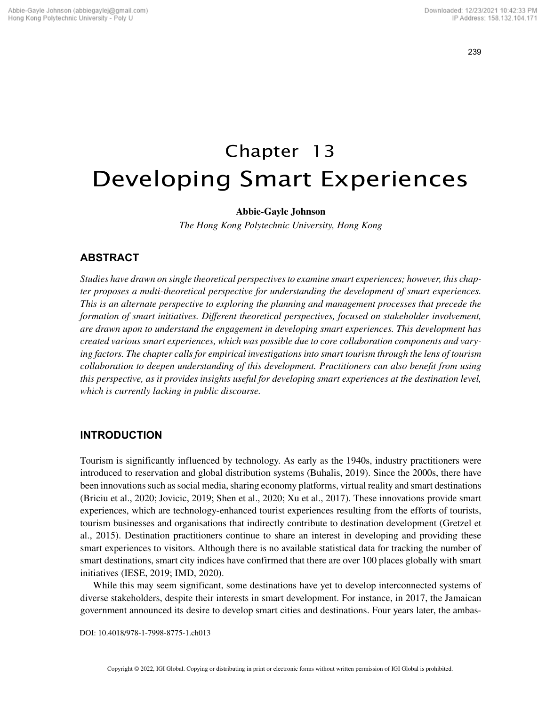239

# Chapter 13 Developing Smart Experiences

## **Abbie-Gayle Johnson**

*The Hong Kong Polytechnic University, Hong Kong*

# **ABSTRACT**

*Studies have drawn on single theoretical perspectives to examine smart experiences; however, this chapter proposes a multi-theoretical perspective for understanding the development of smart experiences. This is an alternate perspective to exploring the planning and management processes that precede the formation of smart initiatives. Different theoretical perspectives, focused on stakeholder involvement, are drawn upon to understand the engagement in developing smart experiences. This development has created various smart experiences, which was possible due to core collaboration components and varying factors. The chapter calls for empirical investigations into smart tourism through the lens of tourism collaboration to deepen understanding of this development. Practitioners can also benefit from using this perspective, as it provides insights useful for developing smart experiences at the destination level, which is currently lacking in public discourse.*

## **INTRODUCTION**

Tourism is significantly influenced by technology. As early as the 1940s, industry practitioners were introduced to reservation and global distribution systems (Buhalis, 2019). Since the 2000s, there have been innovations such as social media, sharing economy platforms, virtual reality and smart destinations (Briciu et al., 2020; Jovicic, 2019; Shen et al., 2020; Xu et al., 2017). These innovations provide smart experiences, which are technology-enhanced tourist experiences resulting from the efforts of tourists, tourism businesses and organisations that indirectly contribute to destination development (Gretzel et al., 2015). Destination practitioners continue to share an interest in developing and providing these smart experiences to visitors. Although there is no available statistical data for tracking the number of smart destinations, smart city indices have confirmed that there are over 100 places globally with smart initiatives (IESE, 2019; IMD, 2020).

While this may seem significant, some destinations have yet to develop interconnected systems of diverse stakeholders, despite their interests in smart development. For instance, in 2017, the Jamaican government announced its desire to develop smart cities and destinations. Four years later, the ambas-

DOI: 10.4018/978-1-7998-8775-1.ch013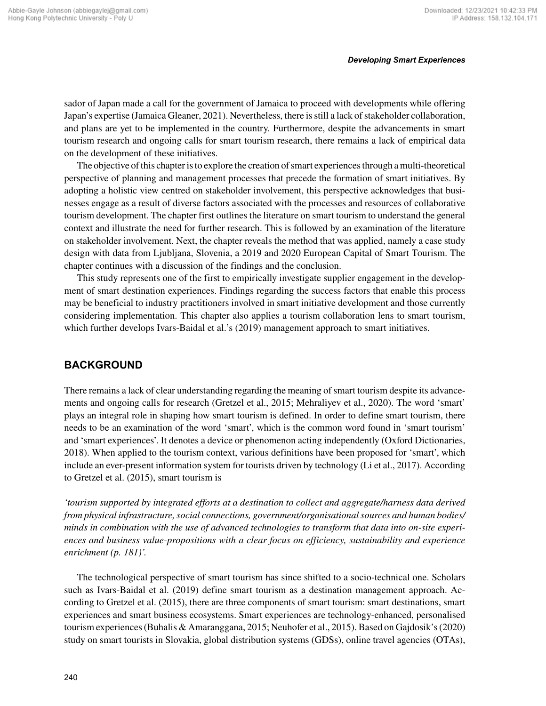sador of Japan made a call for the government of Jamaica to proceed with developments while offering Japan's expertise (Jamaica Gleaner, 2021). Nevertheless, there is still a lack of stakeholder collaboration, and plans are yet to be implemented in the country. Furthermore, despite the advancements in smart tourism research and ongoing calls for smart tourism research, there remains a lack of empirical data on the development of these initiatives.

The objective of this chapter is to explore the creation of smart experiences through a multi-theoretical perspective of planning and management processes that precede the formation of smart initiatives. By adopting a holistic view centred on stakeholder involvement, this perspective acknowledges that businesses engage as a result of diverse factors associated with the processes and resources of collaborative tourism development. The chapter first outlines the literature on smart tourism to understand the general context and illustrate the need for further research. This is followed by an examination of the literature on stakeholder involvement. Next, the chapter reveals the method that was applied, namely a case study design with data from Ljubljana, Slovenia, a 2019 and 2020 European Capital of Smart Tourism. The chapter continues with a discussion of the findings and the conclusion.

This study represents one of the first to empirically investigate supplier engagement in the development of smart destination experiences. Findings regarding the success factors that enable this process may be beneficial to industry practitioners involved in smart initiative development and those currently considering implementation. This chapter also applies a tourism collaboration lens to smart tourism, which further develops Ivars-Baidal et al.'s (2019) management approach to smart initiatives.

# **BACKGROUND**

There remains a lack of clear understanding regarding the meaning of smart tourism despite its advancements and ongoing calls for research (Gretzel et al., 2015; Mehraliyev et al., 2020). The word 'smart' plays an integral role in shaping how smart tourism is defined. In order to define smart tourism, there needs to be an examination of the word 'smart', which is the common word found in 'smart tourism' and 'smart experiences'. It denotes a device or phenomenon acting independently (Oxford Dictionaries, 2018). When applied to the tourism context, various definitions have been proposed for 'smart', which include an ever-present information system for tourists driven by technology (Li et al., 2017). According to Gretzel et al. (2015), smart tourism is

*'tourism supported by integrated efforts at a destination to collect and aggregate/harness data derived from physical infrastructure, social connections, government/organisational sources and human bodies/ minds in combination with the use of advanced technologies to transform that data into on-site experiences and business value-propositions with a clear focus on efficiency, sustainability and experience enrichment (p. 181)'.*

The technological perspective of smart tourism has since shifted to a socio-technical one. Scholars such as Ivars-Baidal et al. (2019) define smart tourism as a destination management approach. According to Gretzel et al. (2015), there are three components of smart tourism: smart destinations, smart experiences and smart business ecosystems. Smart experiences are technology-enhanced, personalised tourism experiences (Buhalis & Amaranggana, 2015; Neuhofer et al., 2015). Based on Gajdosik's (2020) study on smart tourists in Slovakia, global distribution systems (GDSs), online travel agencies (OTAs),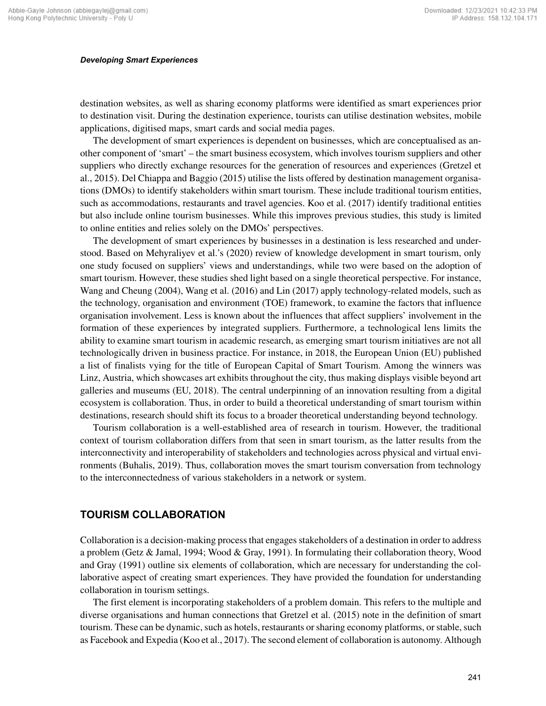destination websites, as well as sharing economy platforms were identified as smart experiences prior to destination visit. During the destination experience, tourists can utilise destination websites, mobile applications, digitised maps, smart cards and social media pages.

The development of smart experiences is dependent on businesses, which are conceptualised as another component of 'smart' – the smart business ecosystem, which involves tourism suppliers and other suppliers who directly exchange resources for the generation of resources and experiences (Gretzel et al., 2015). Del Chiappa and Baggio (2015) utilise the lists offered by destination management organisations (DMOs) to identify stakeholders within smart tourism. These include traditional tourism entities, such as accommodations, restaurants and travel agencies. Koo et al. (2017) identify traditional entities but also include online tourism businesses. While this improves previous studies, this study is limited to online entities and relies solely on the DMOs' perspectives.

The development of smart experiences by businesses in a destination is less researched and understood. Based on Mehyraliyev et al.'s (2020) review of knowledge development in smart tourism, only one study focused on suppliers' views and understandings, while two were based on the adoption of smart tourism. However, these studies shed light based on a single theoretical perspective. For instance, Wang and Cheung (2004), Wang et al. (2016) and Lin (2017) apply technology-related models, such as the technology, organisation and environment (TOE) framework, to examine the factors that influence organisation involvement. Less is known about the influences that affect suppliers' involvement in the formation of these experiences by integrated suppliers. Furthermore, a technological lens limits the ability to examine smart tourism in academic research, as emerging smart tourism initiatives are not all technologically driven in business practice. For instance, in 2018, the European Union (EU) published a list of finalists vying for the title of European Capital of Smart Tourism. Among the winners was Linz, Austria, which showcases art exhibits throughout the city, thus making displays visible beyond art galleries and museums (EU, 2018). The central underpinning of an innovation resulting from a digital ecosystem is collaboration. Thus, in order to build a theoretical understanding of smart tourism within destinations, research should shift its focus to a broader theoretical understanding beyond technology.

Tourism collaboration is a well-established area of research in tourism. However, the traditional context of tourism collaboration differs from that seen in smart tourism, as the latter results from the interconnectivity and interoperability of stakeholders and technologies across physical and virtual environments (Buhalis, 2019). Thus, collaboration moves the smart tourism conversation from technology to the interconnectedness of various stakeholders in a network or system.

# **TOURISM COLLABORATION**

Collaboration is a decision-making process that engages stakeholders of a destination in order to address a problem (Getz & Jamal, 1994; Wood & Gray, 1991). In formulating their collaboration theory, Wood and Gray (1991) outline six elements of collaboration, which are necessary for understanding the collaborative aspect of creating smart experiences. They have provided the foundation for understanding collaboration in tourism settings.

The first element is incorporating stakeholders of a problem domain. This refers to the multiple and diverse organisations and human connections that Gretzel et al. (2015) note in the definition of smart tourism. These can be dynamic, such as hotels, restaurants or sharing economy platforms, or stable, such as Facebook and Expedia (Koo et al., 2017). The second element of collaboration is autonomy. Although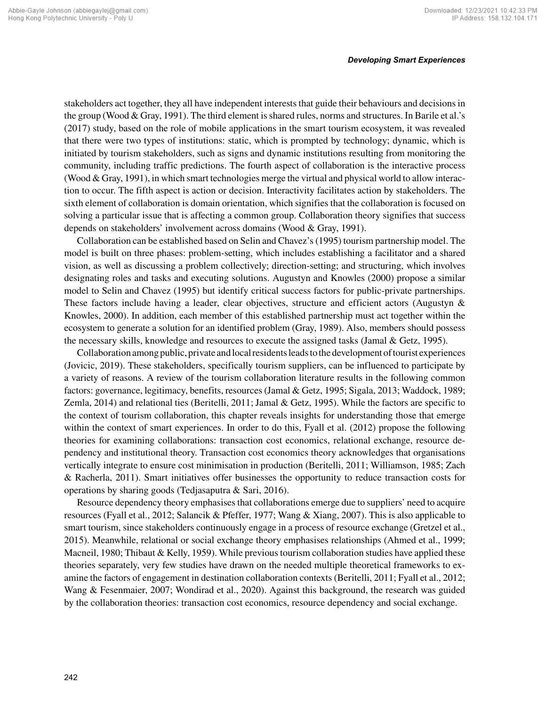stakeholders act together, they all have independent interests that guide their behaviours and decisions in the group (Wood & Gray, 1991). The third element is shared rules, norms and structures. In Barile et al.'s (2017) study, based on the role of mobile applications in the smart tourism ecosystem, it was revealed that there were two types of institutions: static, which is prompted by technology; dynamic, which is initiated by tourism stakeholders, such as signs and dynamic institutions resulting from monitoring the community, including traffic predictions. The fourth aspect of collaboration is the interactive process (Wood & Gray, 1991), in which smart technologies merge the virtual and physical world to allow interaction to occur. The fifth aspect is action or decision. Interactivity facilitates action by stakeholders. The sixth element of collaboration is domain orientation, which signifies that the collaboration is focused on solving a particular issue that is affecting a common group. Collaboration theory signifies that success depends on stakeholders' involvement across domains (Wood & Gray, 1991).

Collaboration can be established based on Selin and Chavez's (1995) tourism partnership model. The model is built on three phases: problem-setting, which includes establishing a facilitator and a shared vision, as well as discussing a problem collectively; direction-setting; and structuring, which involves designating roles and tasks and executing solutions. Augustyn and Knowles (2000) propose a similar model to Selin and Chavez (1995) but identify critical success factors for public-private partnerships. These factors include having a leader, clear objectives, structure and efficient actors (Augustyn & Knowles, 2000). In addition, each member of this established partnership must act together within the ecosystem to generate a solution for an identified problem (Gray, 1989). Also, members should possess the necessary skills, knowledge and resources to execute the assigned tasks (Jamal & Getz, 1995).

Collaboration among public, private and local residents leads to the development of tourist experiences (Jovicic, 2019). These stakeholders, specifically tourism suppliers, can be influenced to participate by a variety of reasons. A review of the tourism collaboration literature results in the following common factors: governance, legitimacy, benefits, resources (Jamal & Getz, 1995; Sigala, 2013; Waddock, 1989; Zemla, 2014) and relational ties (Beritelli, 2011; Jamal & Getz, 1995). While the factors are specific to the context of tourism collaboration, this chapter reveals insights for understanding those that emerge within the context of smart experiences. In order to do this, Fyall et al. (2012) propose the following theories for examining collaborations: transaction cost economics, relational exchange, resource dependency and institutional theory. Transaction cost economics theory acknowledges that organisations vertically integrate to ensure cost minimisation in production (Beritelli, 2011; Williamson, 1985; Zach & Racherla, 2011). Smart initiatives offer businesses the opportunity to reduce transaction costs for operations by sharing goods (Tedjasaputra & Sari, 2016).

Resource dependency theory emphasises that collaborations emerge due to suppliers' need to acquire resources (Fyall et al., 2012; Salancik & Pfeffer, 1977; Wang & Xiang, 2007). This is also applicable to smart tourism, since stakeholders continuously engage in a process of resource exchange (Gretzel et al., 2015). Meanwhile, relational or social exchange theory emphasises relationships (Ahmed et al., 1999; Macneil, 1980; Thibaut & Kelly, 1959). While previous tourism collaboration studies have applied these theories separately, very few studies have drawn on the needed multiple theoretical frameworks to examine the factors of engagement in destination collaboration contexts (Beritelli, 2011; Fyall et al., 2012; Wang & Fesenmaier, 2007; Wondirad et al., 2020). Against this background, the research was guided by the collaboration theories: transaction cost economics, resource dependency and social exchange.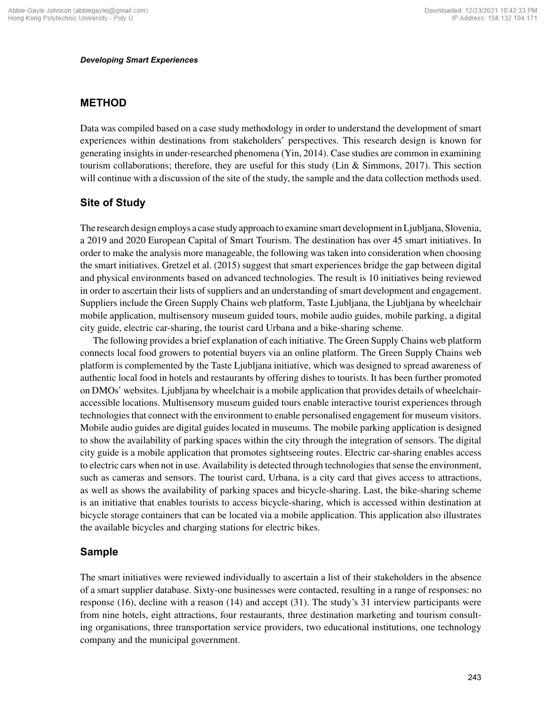# **METHOD**

Data was compiled based on a case study methodology in order to understand the development of smart experiences within destinations from stakeholders' perspectives. This research design is known for generating insights in under-researched phenomena (Yin, 2014). Case studies are common in examining tourism collaborations; therefore, they are useful for this study (Lin & Simmons, 2017). This section will continue with a discussion of the site of the study, the sample and the data collection methods used.

# **Site of Study**

The research design employs a case study approach to examine smart development in Ljubljana, Slovenia, a 2019 and 2020 European Capital of Smart Tourism. The destination has over 45 smart initiatives. In order to make the analysis more manageable, the following was taken into consideration when choosing the smart initiatives. Gretzel et al. (2015) suggest that smart experiences bridge the gap between digital and physical environments based on advanced technologies. The result is 10 initiatives being reviewed in order to ascertain their lists of suppliers and an understanding of smart development and engagement. Suppliers include the Green Supply Chains web platform, Taste Ljubljana, the Ljubljana by wheelchair mobile application, multisensory museum guided tours, mobile audio guides, mobile parking, a digital city guide, electric car-sharing, the tourist card Urbana and a bike-sharing scheme.

The following provides a brief explanation of each initiative. The Green Supply Chains web platform connects local food growers to potential buyers via an online platform. The Green Supply Chains web platform is complemented by the Taste Ljubljana initiative, which was designed to spread awareness of authentic local food in hotels and restaurants by offering dishes to tourists. It has been further promoted on DMOs' websites. Ljubljana by wheelchair is a mobile application that provides details of wheelchairaccessible locations. Multisensory museum guided tours enable interactive tourist experiences through technologies that connect with the environment to enable personalised engagement for museum visitors. Mobile audio guides are digital guides located in museums. The mobile parking application is designed to show the availability of parking spaces within the city through the integration of sensors. The digital city guide is a mobile application that promotes sightseeing routes. Electric car-sharing enables access to electric cars when not in use. Availability is detected through technologies that sense the environment, such as cameras and sensors. The tourist card, Urbana, is a city card that gives access to attractions, as well as shows the availability of parking spaces and bicycle-sharing. Last, the bike-sharing scheme is an initiative that enables tourists to access bicycle-sharing, which is accessed within destination at bicycle storage containers that can be located via a mobile application. This application also illustrates the available bicycles and charging stations for electric bikes.

# **Sample**

The smart initiatives were reviewed individually to ascertain a list of their stakeholders in the absence of a smart supplier database. Sixty-one businesses were contacted, resulting in a range of responses: no response (16), decline with a reason (14) and accept (31). The study's 31 interview participants were from nine hotels, eight attractions, four restaurants, three destination marketing and tourism consulting organisations, three transportation service providers, two educational institutions, one technology company and the municipal government.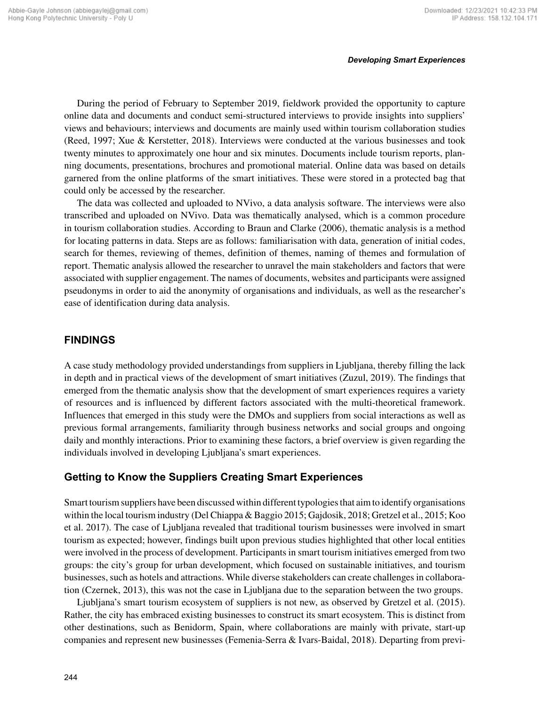During the period of February to September 2019, fieldwork provided the opportunity to capture online data and documents and conduct semi-structured interviews to provide insights into suppliers' views and behaviours; interviews and documents are mainly used within tourism collaboration studies (Reed, 1997; Xue & Kerstetter, 2018). Interviews were conducted at the various businesses and took twenty minutes to approximately one hour and six minutes. Documents include tourism reports, planning documents, presentations, brochures and promotional material. Online data was based on details garnered from the online platforms of the smart initiatives. These were stored in a protected bag that could only be accessed by the researcher.

The data was collected and uploaded to NVivo, a data analysis software. The interviews were also transcribed and uploaded on NVivo. Data was thematically analysed, which is a common procedure in tourism collaboration studies. According to Braun and Clarke (2006), thematic analysis is a method for locating patterns in data. Steps are as follows: familiarisation with data, generation of initial codes, search for themes, reviewing of themes, definition of themes, naming of themes and formulation of report. Thematic analysis allowed the researcher to unravel the main stakeholders and factors that were associated with supplier engagement. The names of documents, websites and participants were assigned pseudonyms in order to aid the anonymity of organisations and individuals, as well as the researcher's ease of identification during data analysis.

# **FINDINGS**

A case study methodology provided understandings from suppliers in Ljubljana, thereby filling the lack in depth and in practical views of the development of smart initiatives (Zuzul, 2019). The findings that emerged from the thematic analysis show that the development of smart experiences requires a variety of resources and is influenced by different factors associated with the multi-theoretical framework. Influences that emerged in this study were the DMOs and suppliers from social interactions as well as previous formal arrangements, familiarity through business networks and social groups and ongoing daily and monthly interactions. Prior to examining these factors, a brief overview is given regarding the individuals involved in developing Ljubljana's smart experiences.

# **Getting to Know the Suppliers Creating Smart Experiences**

Smart tourism suppliers have been discussed within different typologies that aim to identify organisations within the local tourism industry (Del Chiappa & Baggio 2015; Gajdosik, 2018; Gretzel et al., 2015; Koo et al. 2017). The case of Ljubljana revealed that traditional tourism businesses were involved in smart tourism as expected; however, findings built upon previous studies highlighted that other local entities were involved in the process of development. Participants in smart tourism initiatives emerged from two groups: the city's group for urban development, which focused on sustainable initiatives, and tourism businesses, such as hotels and attractions. While diverse stakeholders can create challenges in collaboration (Czernek, 2013), this was not the case in Ljubljana due to the separation between the two groups.

Ljubljana's smart tourism ecosystem of suppliers is not new, as observed by Gretzel et al. (2015). Rather, the city has embraced existing businesses to construct its smart ecosystem. This is distinct from other destinations, such as Benidorm, Spain, where collaborations are mainly with private, start-up companies and represent new businesses (Femenia-Serra & Ivars-Baidal, 2018). Departing from previ-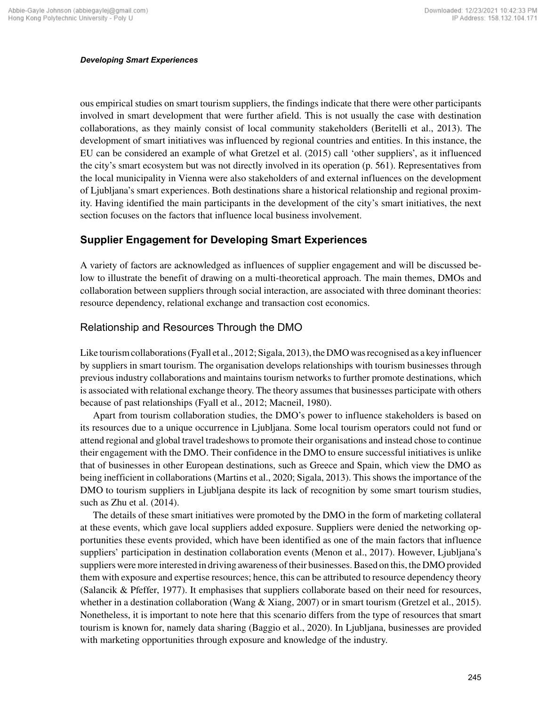ous empirical studies on smart tourism suppliers, the findings indicate that there were other participants involved in smart development that were further afield. This is not usually the case with destination collaborations, as they mainly consist of local community stakeholders (Beritelli et al., 2013). The development of smart initiatives was influenced by regional countries and entities. In this instance, the EU can be considered an example of what Gretzel et al. (2015) call 'other suppliers', as it influenced the city's smart ecosystem but was not directly involved in its operation (p. 561). Representatives from the local municipality in Vienna were also stakeholders of and external influences on the development of Ljubljana's smart experiences. Both destinations share a historical relationship and regional proximity. Having identified the main participants in the development of the city's smart initiatives, the next section focuses on the factors that influence local business involvement.

# **Supplier Engagement for Developing Smart Experiences**

A variety of factors are acknowledged as influences of supplier engagement and will be discussed below to illustrate the benefit of drawing on a multi-theoretical approach. The main themes, DMOs and collaboration between suppliers through social interaction, are associated with three dominant theories: resource dependency, relational exchange and transaction cost economics.

# Relationship and Resources Through the DMO

Like tourism collaborations (Fyall et al., 2012; Sigala, 2013), the DMO was recognised as a key influencer by suppliers in smart tourism. The organisation develops relationships with tourism businesses through previous industry collaborations and maintains tourism networks to further promote destinations, which is associated with relational exchange theory. The theory assumes that businesses participate with others because of past relationships (Fyall et al., 2012; Macneil, 1980).

Apart from tourism collaboration studies, the DMO's power to influence stakeholders is based on its resources due to a unique occurrence in Ljubljana. Some local tourism operators could not fund or attend regional and global travel tradeshows to promote their organisations and instead chose to continue their engagement with the DMO. Their confidence in the DMO to ensure successful initiatives is unlike that of businesses in other European destinations, such as Greece and Spain, which view the DMO as being inefficient in collaborations (Martins et al., 2020; Sigala, 2013). This shows the importance of the DMO to tourism suppliers in Ljubljana despite its lack of recognition by some smart tourism studies, such as Zhu et al. (2014).

The details of these smart initiatives were promoted by the DMO in the form of marketing collateral at these events, which gave local suppliers added exposure. Suppliers were denied the networking opportunities these events provided, which have been identified as one of the main factors that influence suppliers' participation in destination collaboration events (Menon et al., 2017). However, Ljubljana's suppliers were more interested in driving awareness of their businesses. Based on this, the DMO provided them with exposure and expertise resources; hence, this can be attributed to resource dependency theory (Salancik & Pfeffer, 1977). It emphasises that suppliers collaborate based on their need for resources, whether in a destination collaboration (Wang & Xiang, 2007) or in smart tourism (Gretzel et al., 2015). Nonetheless, it is important to note here that this scenario differs from the type of resources that smart tourism is known for, namely data sharing (Baggio et al., 2020). In Ljubljana, businesses are provided with marketing opportunities through exposure and knowledge of the industry.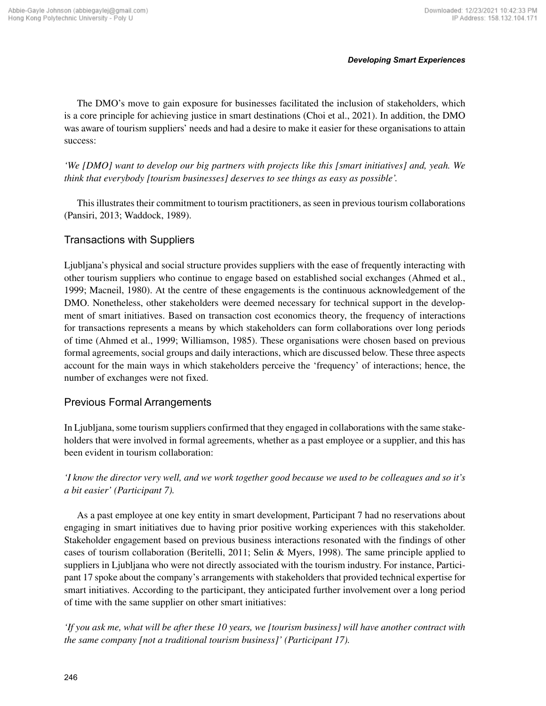The DMO's move to gain exposure for businesses facilitated the inclusion of stakeholders, which is a core principle for achieving justice in smart destinations (Choi et al., 2021). In addition, the DMO was aware of tourism suppliers' needs and had a desire to make it easier for these organisations to attain success:

*'We [DMO] want to develop our big partners with projects like this [smart initiatives] and, yeah. We think that everybody [tourism businesses] deserves to see things as easy as possible'.* 

This illustrates their commitment to tourism practitioners, as seen in previous tourism collaborations (Pansiri, 2013; Waddock, 1989).

# Transactions with Suppliers

Ljubljana's physical and social structure provides suppliers with the ease of frequently interacting with other tourism suppliers who continue to engage based on established social exchanges (Ahmed et al., 1999; Macneil, 1980). At the centre of these engagements is the continuous acknowledgement of the DMO. Nonetheless, other stakeholders were deemed necessary for technical support in the development of smart initiatives. Based on transaction cost economics theory, the frequency of interactions for transactions represents a means by which stakeholders can form collaborations over long periods of time (Ahmed et al., 1999; Williamson, 1985). These organisations were chosen based on previous formal agreements, social groups and daily interactions, which are discussed below. These three aspects account for the main ways in which stakeholders perceive the 'frequency' of interactions; hence, the number of exchanges were not fixed.

# Previous Formal Arrangements

In Ljubljana, some tourism suppliers confirmed that they engaged in collaborations with the same stakeholders that were involved in formal agreements, whether as a past employee or a supplier, and this has been evident in tourism collaboration:

*'I know the director very well, and we work together good because we used to be colleagues and so it's a bit easier' (Participant 7).*

As a past employee at one key entity in smart development, Participant 7 had no reservations about engaging in smart initiatives due to having prior positive working experiences with this stakeholder. Stakeholder engagement based on previous business interactions resonated with the findings of other cases of tourism collaboration (Beritelli, 2011; Selin & Myers, 1998). The same principle applied to suppliers in Ljubljana who were not directly associated with the tourism industry. For instance, Participant 17 spoke about the company's arrangements with stakeholders that provided technical expertise for smart initiatives. According to the participant, they anticipated further involvement over a long period of time with the same supplier on other smart initiatives:

*'If you ask me, what will be after these 10 years, we [tourism business] will have another contract with the same company [not a traditional tourism business]' (Participant 17).*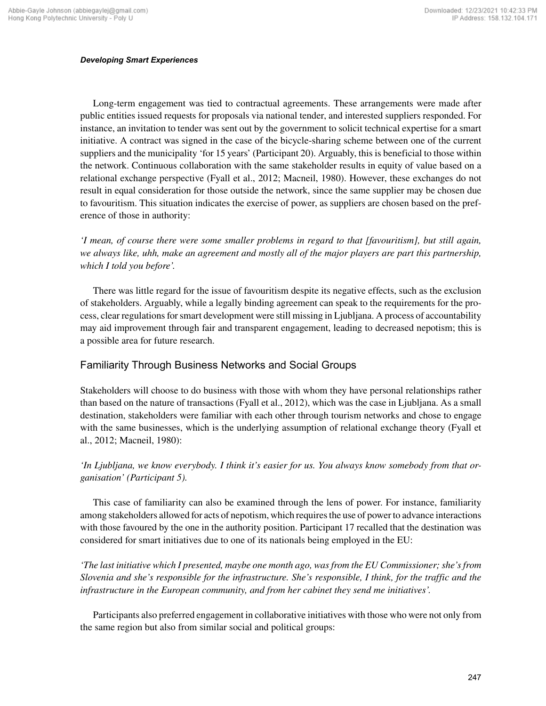Long-term engagement was tied to contractual agreements. These arrangements were made after public entities issued requests for proposals via national tender, and interested suppliers responded. For instance, an invitation to tender was sent out by the government to solicit technical expertise for a smart initiative. A contract was signed in the case of the bicycle-sharing scheme between one of the current suppliers and the municipality 'for 15 years' (Participant 20). Arguably, this is beneficial to those within the network. Continuous collaboration with the same stakeholder results in equity of value based on a relational exchange perspective (Fyall et al., 2012; Macneil, 1980). However, these exchanges do not result in equal consideration for those outside the network, since the same supplier may be chosen due to favouritism. This situation indicates the exercise of power, as suppliers are chosen based on the preference of those in authority:

*'I mean, of course there were some smaller problems in regard to that [favouritism], but still again, we always like, uhh, make an agreement and mostly all of the major players are part this partnership, which I told you before'.*

There was little regard for the issue of favouritism despite its negative effects, such as the exclusion of stakeholders. Arguably, while a legally binding agreement can speak to the requirements for the process, clear regulations for smart development were still missing in Ljubljana. A process of accountability may aid improvement through fair and transparent engagement, leading to decreased nepotism; this is a possible area for future research.

# Familiarity Through Business Networks and Social Groups

Stakeholders will choose to do business with those with whom they have personal relationships rather than based on the nature of transactions (Fyall et al., 2012), which was the case in Ljubljana. As a small destination, stakeholders were familiar with each other through tourism networks and chose to engage with the same businesses, which is the underlying assumption of relational exchange theory (Fyall et al., 2012; Macneil, 1980):

## *'In Ljubljana, we know everybody. I think it's easier for us. You always know somebody from that organisation' (Participant 5).*

This case of familiarity can also be examined through the lens of power. For instance, familiarity among stakeholders allowed for acts of nepotism, which requires the use of power to advance interactions with those favoured by the one in the authority position. Participant 17 recalled that the destination was considered for smart initiatives due to one of its nationals being employed in the EU:

*'The last initiative which I presented, maybe one month ago, was from the EU Commissioner; she's from Slovenia and she's responsible for the infrastructure. She's responsible, I think, for the traffic and the infrastructure in the European community, and from her cabinet they send me initiatives'.*

Participants also preferred engagement in collaborative initiatives with those who were not only from the same region but also from similar social and political groups: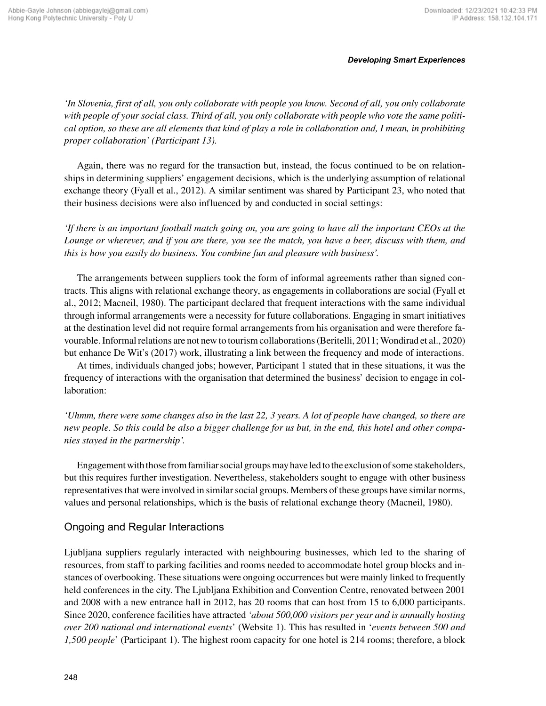*'In Slovenia, first of all, you only collaborate with people you know. Second of all, you only collaborate with people of your social class. Third of all, you only collaborate with people who vote the same political option, so these are all elements that kind of play a role in collaboration and, I mean, in prohibiting proper collaboration' (Participant 13).*

Again, there was no regard for the transaction but, instead, the focus continued to be on relationships in determining suppliers' engagement decisions, which is the underlying assumption of relational exchange theory (Fyall et al., 2012). A similar sentiment was shared by Participant 23, who noted that their business decisions were also influenced by and conducted in social settings:

*'If there is an important football match going on, you are going to have all the important CEOs at the Lounge or wherever, and if you are there, you see the match, you have a beer, discuss with them, and this is how you easily do business. You combine fun and pleasure with business'.*

The arrangements between suppliers took the form of informal agreements rather than signed contracts. This aligns with relational exchange theory, as engagements in collaborations are social (Fyall et al., 2012; Macneil, 1980). The participant declared that frequent interactions with the same individual through informal arrangements were a necessity for future collaborations. Engaging in smart initiatives at the destination level did not require formal arrangements from his organisation and were therefore favourable. Informal relations are not new to tourism collaborations (Beritelli, 2011; Wondirad et al., 2020) but enhance De Wit's (2017) work, illustrating a link between the frequency and mode of interactions.

At times, individuals changed jobs; however, Participant 1 stated that in these situations, it was the frequency of interactions with the organisation that determined the business' decision to engage in collaboration:

*'Uhmm, there were some changes also in the last 22, 3 years. A lot of people have changed, so there are new people. So this could be also a bigger challenge for us but, in the end, this hotel and other companies stayed in the partnership'.*

Engagement with those from familiar social groups may have led to the exclusion of some stakeholders, but this requires further investigation. Nevertheless, stakeholders sought to engage with other business representatives that were involved in similar social groups. Members of these groups have similar norms, values and personal relationships, which is the basis of relational exchange theory (Macneil, 1980).

# Ongoing and Regular Interactions

Ljubljana suppliers regularly interacted with neighbouring businesses, which led to the sharing of resources, from staff to parking facilities and rooms needed to accommodate hotel group blocks and instances of overbooking. These situations were ongoing occurrences but were mainly linked to frequently held conferences in the city. The Ljubljana Exhibition and Convention Centre, renovated between 2001 and 2008 with a new entrance hall in 2012, has 20 rooms that can host from 15 to 6,000 participants. Since 2020, conference facilities have attracted *'about 500,000 visitors per year and is annually hosting over 200 national and international events*' (Website 1). This has resulted in '*events between 500 and 1,500 people*' (Participant 1). The highest room capacity for one hotel is 214 rooms; therefore, a block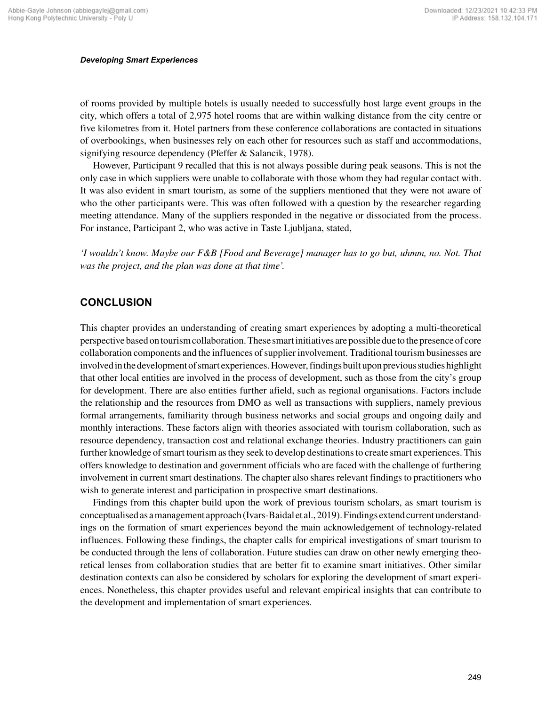of rooms provided by multiple hotels is usually needed to successfully host large event groups in the city, which offers a total of 2,975 hotel rooms that are within walking distance from the city centre or five kilometres from it. Hotel partners from these conference collaborations are contacted in situations of overbookings, when businesses rely on each other for resources such as staff and accommodations, signifying resource dependency (Pfeffer & Salancik, 1978).

However, Participant 9 recalled that this is not always possible during peak seasons. This is not the only case in which suppliers were unable to collaborate with those whom they had regular contact with. It was also evident in smart tourism, as some of the suppliers mentioned that they were not aware of who the other participants were. This was often followed with a question by the researcher regarding meeting attendance. Many of the suppliers responded in the negative or dissociated from the process. For instance, Participant 2, who was active in Taste Ljubljana, stated,

*'I wouldn't know. Maybe our F&B [Food and Beverage] manager has to go but, uhmm, no. Not. That was the project, and the plan was done at that time'.*

## **CONCLUSION**

This chapter provides an understanding of creating smart experiences by adopting a multi-theoretical perspective based on tourism collaboration. These smart initiatives are possible due to the presence of core collaboration components and the influences of supplier involvement. Traditional tourism businesses are involved in the development of smart experiences. However, findings built upon previous studies highlight that other local entities are involved in the process of development, such as those from the city's group for development. There are also entities further afield, such as regional organisations. Factors include the relationship and the resources from DMO as well as transactions with suppliers, namely previous formal arrangements, familiarity through business networks and social groups and ongoing daily and monthly interactions. These factors align with theories associated with tourism collaboration, such as resource dependency, transaction cost and relational exchange theories. Industry practitioners can gain further knowledge of smart tourism as they seek to develop destinations to create smart experiences. This offers knowledge to destination and government officials who are faced with the challenge of furthering involvement in current smart destinations. The chapter also shares relevant findings to practitioners who wish to generate interest and participation in prospective smart destinations.

Findings from this chapter build upon the work of previous tourism scholars, as smart tourism is conceptualised as a management approach (Ivars-Baidal et al., 2019). Findings extend current understandings on the formation of smart experiences beyond the main acknowledgement of technology-related influences. Following these findings, the chapter calls for empirical investigations of smart tourism to be conducted through the lens of collaboration. Future studies can draw on other newly emerging theoretical lenses from collaboration studies that are better fit to examine smart initiatives. Other similar destination contexts can also be considered by scholars for exploring the development of smart experiences. Nonetheless, this chapter provides useful and relevant empirical insights that can contribute to the development and implementation of smart experiences.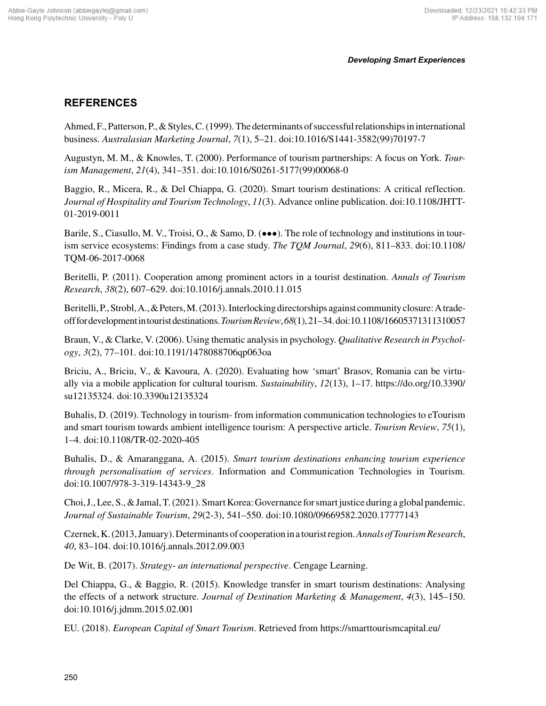# **REFERENCES**

Ahmed, F., Patterson, P., & Styles, C. (1999). The determinants of successful relationships in international business. *Australasian Marketing Journal*, *7*(1), 5–21. doi:10.1016/S1441-3582(99)70197-7

Augustyn, M. M., & Knowles, T. (2000). Performance of tourism partnerships: A focus on York. *Tourism Management*, *21*(4), 341–351. doi:10.1016/S0261-5177(99)00068-0

Baggio, R., Micera, R., & Del Chiappa, G. (2020). Smart tourism destinations: A critical reflection. *Journal of Hospitality and Tourism Technology*, *11*(3). Advance online publication. doi:10.1108/JHTT-01-2019-0011

Barile, S., Ciasullo, M. V., Troisi, O., & Samo, D. (•••). The role of technology and institutions in tourism service ecosystems: Findings from a case study. *The TQM Journal*, *29*(6), 811–833. doi:10.1108/ TQM-06-2017-0068

Beritelli, P. (2011). Cooperation among prominent actors in a tourist destination. *Annals of Tourism Research*, *38*(2), 607–629. doi:10.1016/j.annals.2010.11.015

Beritelli, P., Strobl, A., & Peters, M. (2013). Interlocking directorships against community closure: A tradeoff for development in tourist destinations. *Tourism Review*, *68*(1), 21–34. doi:10.1108/16605371311310057

Braun, V., & Clarke, V. (2006). Using thematic analysis in psychology. *Qualitative Research in Psychology*, *3*(2), 77–101. doi:10.1191/1478088706qp063oa

Briciu, A., Briciu, V., & Kavoura, A. (2020). Evaluating how 'smart' Brasov, Romania can be virtually via a mobile application for cultural tourism. *Sustainability*, *12*(13), 1–17. [https://do.org/10.3390/](https://do.org/10.3390/su12135324) [su12135324.](https://do.org/10.3390/su12135324) doi:10.3390u12135324

Buhalis, D. (2019). Technology in tourism- from information communication technologies to eTourism and smart tourism towards ambient intelligence tourism: A perspective article. *Tourism Review*, *75*(1), 1–4. doi:10.1108/TR-02-2020-405

Buhalis, D., & Amaranggana, A. (2015). *Smart tourism destinations enhancing tourism experience through personalisation of services*. Information and Communication Technologies in Tourism. doi:10.1007/978-3-319-14343-9\_28

Choi, J., Lee, S., & Jamal, T. (2021). Smart Korea: Governance for smart justice during a global pandemic. *Journal of Sustainable Tourism*, *29*(2-3), 541–550. doi:10.1080/09669582.2020.17777143

Czernek, K. (2013, January). Determinants of cooperation in a tourist region. *Annals of Tourism Research*, *40*, 83–104. doi:10.1016/j.annals.2012.09.003

De Wit, B. (2017). *Strategy- an international perspective*. Cengage Learning.

Del Chiappa, G., & Baggio, R. (2015). Knowledge transfer in smart tourism destinations: Analysing the effects of a network structure. *Journal of Destination Marketing & Management*, *4*(3), 145–150. doi:10.1016/j.jdmm.2015.02.001

EU. (2018). *European Capital of Smart Tourism*. Retrieved from<https://smarttourismcapital.eu/>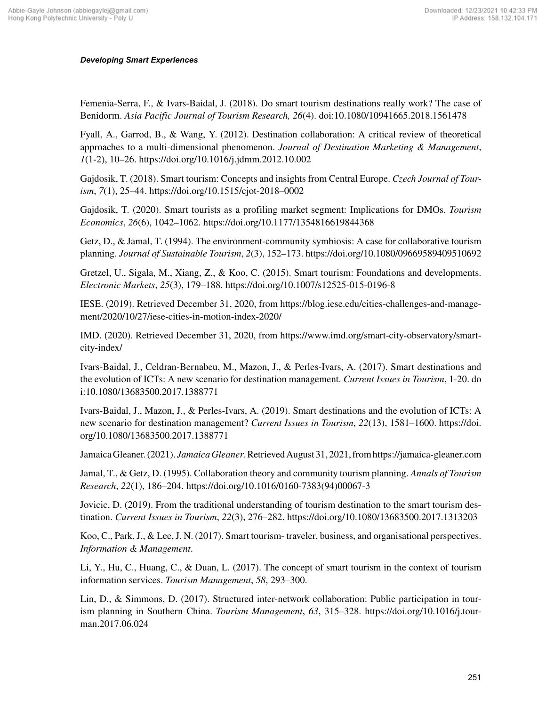Femenia-Serra, F., & Ivars-Baidal, J. (2018). Do smart tourism destinations really work? The case of Benidorm. *Asia Pacific Journal of Tourism Research, 26*(4). doi:10.1080/10941665.2018.1561478

Fyall, A., Garrod, B., & Wang, Y. (2012). Destination collaboration: A critical review of theoretical approaches to a multi-dimensional phenomenon. *Journal of Destination Marketing & Management*, *1*(1-2), 10–26. https://doi.org/10.1016/j.jdmm.2012.10.002

Gajdosik, T. (2018). Smart tourism: Concepts and insights from Central Europe. *Czech Journal of Tourism*, *7*(1), 25–44. https://doi.org/10.1515/cjot-2018–0002

Gajdosik, T. (2020). Smart tourists as a profiling market segment: Implications for DMOs. *Tourism Economics*, *26*(6), 1042–1062. https://doi.org/10.1177/1354816619844368

Getz, D., & Jamal, T. (1994). The environment-community symbiosis: A case for collaborative tourism planning. *Journal of Sustainable Tourism*, *2*(3), 152–173. https://doi.org/10.1080/09669589409510692

Gretzel, U., Sigala, M., Xiang, Z., & Koo, C. (2015). Smart tourism: Foundations and developments. *Electronic Markets*, *25*(3), 179–188. https://doi.org/10.1007/s12525-015-0196-8

IESE. (2019). Retrieved December 31, 2020, from [https://blog.iese.edu/cities-challenges-and-manage](https://blog.iese.edu/cities-challenges-and-management/2020/10/27/iese-cities-in-motion-index-2020/)[ment/2020/10/27/iese-cities-in-motion-index-2020/](https://blog.iese.edu/cities-challenges-and-management/2020/10/27/iese-cities-in-motion-index-2020/)

IMD. (2020). Retrieved December 31, 2020, from [https://www.imd.org/smart-city-observatory/smart](https://www.imd.org/smart-city-observatory/smart-city-index/)[city-index/](https://www.imd.org/smart-city-observatory/smart-city-index/)

Ivars-Baidal, J., Celdran-Bernabeu, M., Mazon, J., & Perles-Ivars, A. (2017). Smart destinations and the evolution of ICTs: A new scenario for destination management. *Current Issues in Tourism*, 1-20. do i:10.1080/13683500.2017.1388771

Ivars-Baidal, J., Mazon, J., & Perles-Ivars, A. (2019). Smart destinations and the evolution of ICTs: A new scenario for destination management? *Current Issues in Tourism*, *22*(13), 1581–1600. https://doi. org/10.1080/13683500.2017.1388771

Jamaica Gleaner. (2021). *Jamaica Gleaner*. Retrieved August 31, 2021, from<https://jamaica-gleaner.com>

Jamal, T., & Getz, D. (1995). Collaboration theory and community tourism planning. *Annals of Tourism Research*, *22*(1), 186–204. https://doi.org/10.1016/0160-7383(94)00067-3

Jovicic, D. (2019). From the traditional understanding of tourism destination to the smart tourism destination. *Current Issues in Tourism*, *22*(3), 276–282. https://doi.org/10.1080/13683500.2017.1313203

Koo, C., Park, J., & Lee, J. N. (2017). Smart tourism- traveler, business, and organisational perspectives. *Information & Management*.

Li, Y., Hu, C., Huang, C., & Duan, L. (2017). The concept of smart tourism in the context of tourism information services. *Tourism Management*, *58*, 293–300.

Lin, D., & Simmons, D. (2017). Structured inter-network collaboration: Public participation in tourism planning in Southern China. *Tourism Management*, *63*, 315–328. https://doi.org/10.1016/j.tourman.2017.06.024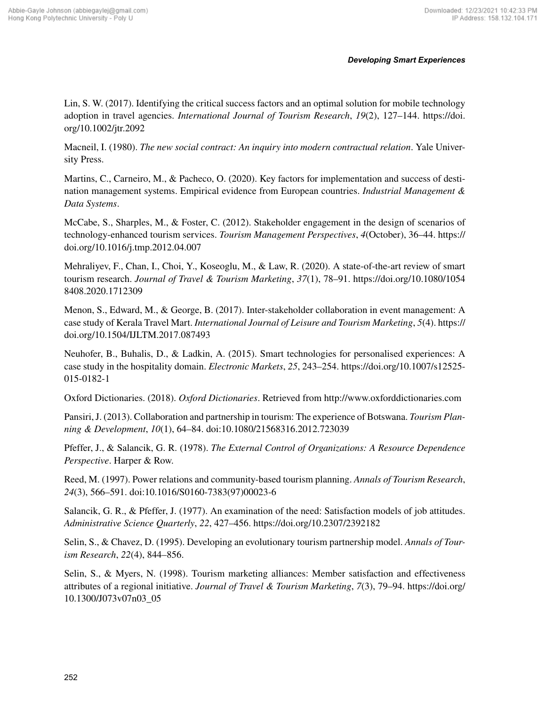Lin, S. W. (2017). Identifying the critical success factors and an optimal solution for mobile technology adoption in travel agencies. *International Journal of Tourism Research*, *19*(2), 127–144. https://doi. org/10.1002/jtr.2092

Macneil, I. (1980). *The new social contract: An inquiry into modern contractual relation*. Yale University Press.

Martins, C., Carneiro, M., & Pacheco, O. (2020). Key factors for implementation and success of destination management systems. Empirical evidence from European countries. *Industrial Management & Data Systems*.

McCabe, S., Sharples, M., & Foster, C. (2012). Stakeholder engagement in the design of scenarios of technology-enhanced tourism services. *Tourism Management Perspectives*, *4*(October), 36–44. https:// doi.org/10.1016/j.tmp.2012.04.007

Mehraliyev, F., Chan, I., Choi, Y., Koseoglu, M., & Law, R. (2020). A state-of-the-art review of smart tourism research. *Journal of Travel & Tourism Marketing*, *37*(1), 78–91. https://doi.org/10.1080/1054 8408.2020.1712309

Menon, S., Edward, M., & George, B. (2017). Inter-stakeholder collaboration in event management: A case study of Kerala Travel Mart. *International Journal of Leisure and Tourism Marketing*, *5*(4). https:// doi.org/10.1504/IJLTM.2017.087493

Neuhofer, B., Buhalis, D., & Ladkin, A. (2015). Smart technologies for personalised experiences: A case study in the hospitality domain. *Electronic Markets*, *25*, 243–254. https://doi.org/10.1007/s12525- 015-0182-1

Oxford Dictionaries. (2018). *Oxford Dictionaries*. Retrieved from <http://www.oxforddictionaries.com>

Pansiri, J. (2013). Collaboration and partnership in tourism: The experience of Botswana. *Tourism Planning & Development*, *10*(1), 64–84. doi:10.1080/21568316.2012.723039

Pfeffer, J., & Salancik, G. R. (1978). *The External Control of Organizations: A Resource Dependence Perspective*. Harper & Row.

Reed, M. (1997). Power relations and community-based tourism planning. *Annals of Tourism Research*, *24*(3), 566–591. doi:10.1016/S0160-7383(97)00023-6

Salancik, G. R., & Pfeffer, J. (1977). An examination of the need: Satisfaction models of job attitudes. *Administrative Science Quarterly*, *22*, 427–456. https://doi.org/10.2307/2392182

Selin, S., & Chavez, D. (1995). Developing an evolutionary tourism partnership model. *Annals of Tourism Research*, *22*(4), 844–856.

Selin, S., & Myers, N. (1998). Tourism marketing alliances: Member satisfaction and effectiveness attributes of a regional initiative. *Journal of Travel & Tourism Marketing*, *7*(3), 79–94. https://doi.org/ 10.1300/J073v07n03\_05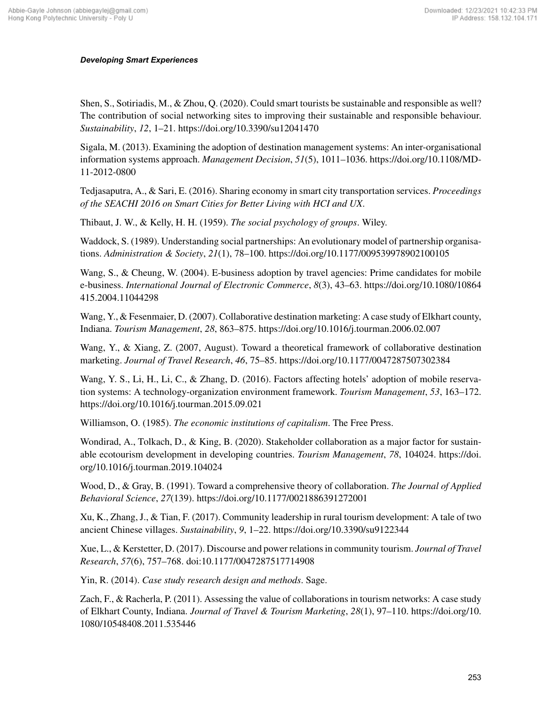Shen, S., Sotiriadis, M., & Zhou, Q. (2020). Could smart tourists be sustainable and responsible as well? The contribution of social networking sites to improving their sustainable and responsible behaviour. *Sustainability*, *12*, 1–21. https://doi.org/10.3390/su12041470

Sigala, M. (2013). Examining the adoption of destination management systems: An inter-organisational information systems approach. *Management Decision*, *51*(5), 1011–1036. https://doi.org/10.1108/MD-11-2012-0800

Tedjasaputra, A., & Sari, E. (2016). Sharing economy in smart city transportation services. *Proceedings of the SEACHI 2016 on Smart Cities for Better Living with HCI and UX*.

Thibaut, J. W., & Kelly, H. H. (1959). *The social psychology of groups*. Wiley.

Waddock, S. (1989). Understanding social partnerships: An evolutionary model of partnership organisations. *Administration & Society*, *21*(1), 78–100. https://doi.org/10.1177/009539978902100105

Wang, S., & Cheung, W. (2004). E-business adoption by travel agencies: Prime candidates for mobile e-business. *International Journal of Electronic Commerce*, *8*(3), 43–63. https://doi.org/10.1080/10864 415.2004.11044298

Wang, Y., & Fesenmaier, D. (2007). Collaborative destination marketing: A case study of Elkhart county, Indiana. *Tourism Management*, *28*, 863–875. https://doi.org/10.1016/j.tourman.2006.02.007

Wang, Y., & Xiang, Z. (2007, August). Toward a theoretical framework of collaborative destination marketing. *Journal of Travel Research*, *46*, 75–85. https://doi.org/10.1177/0047287507302384

Wang, Y. S., Li, H., Li, C., & Zhang, D. (2016). Factors affecting hotels' adoption of mobile reservation systems: A technology-organization environment framework. *Tourism Management*, *53*, 163–172. https://doi.org/10.1016/j.tourman.2015.09.021

Williamson, O. (1985). *The economic institutions of capitalism*. The Free Press.

Wondirad, A., Tolkach, D., & King, B. (2020). Stakeholder collaboration as a major factor for sustainable ecotourism development in developing countries. *Tourism Management*, *78*, 104024. https://doi. org/10.1016/j.tourman.2019.104024

Wood, D., & Gray, B. (1991). Toward a comprehensive theory of collaboration. *The Journal of Applied Behavioral Science*, *27*(139). https://doi.org/10.1177/0021886391272001

Xu, K., Zhang, J., & Tian, F. (2017). Community leadership in rural tourism development: A tale of two ancient Chinese villages. *Sustainability*, *9*, 1–22. https://doi.org/10.3390/su9122344

Xue, L., & Kerstetter, D. (2017). Discourse and power relations in community tourism. *Journal of Travel Research*, *57*(6), 757–768. doi:10.1177/0047287517714908

Yin, R. (2014). *Case study research design and methods*. Sage.

Zach, F., & Racherla, P. (2011). Assessing the value of collaborations in tourism networks: A case study of Elkhart County, Indiana. *Journal of Travel & Tourism Marketing*, *28*(1), 97–110. https://doi.org/10. 1080/10548408.2011.535446